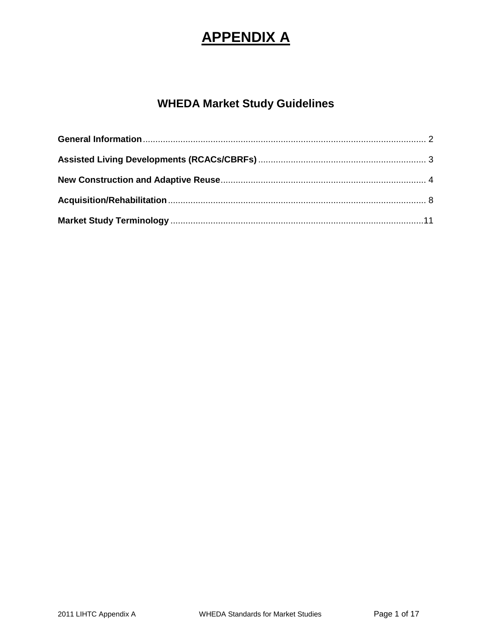# **APPENDIX A**

## **WHEDA Market Study Guidelines**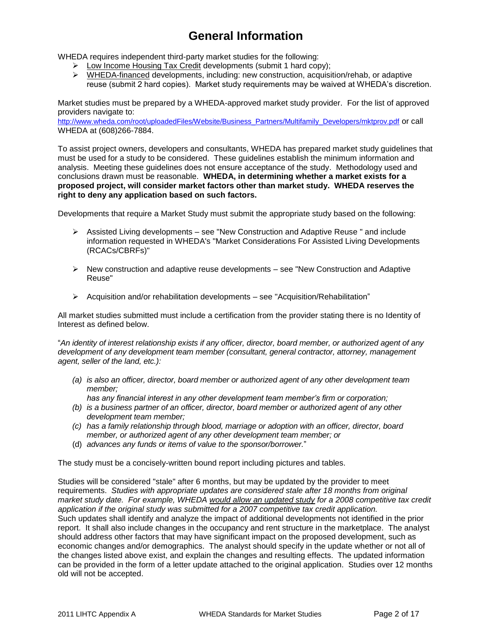## **General Information**

<span id="page-1-0"></span>WHEDA requires independent third-party market studies for the following:

- $\triangleright$  Low Income Housing Tax Credit developments (submit 1 hard copy);
- $\triangleright$  WHEDA-financed developments, including: new construction, acquisition/rehab, or adaptive reuse (submit 2 hard copies). Market study requirements may be waived at WHEDA's discretion.

Market studies must be prepared by a WHEDA-approved market study provider. For the list of approved providers navigate to:

[http://www.wheda.com/root/uploadedFiles/Website/Business\\_Partners/Multifamily\\_Developers/mktprov.pdf](http://www.wheda.com/root/uploadedFiles/Website/Business_Partners/Multifamily_Developers/mktprov.pdf) or call WHEDA at (608)266-7884.

To assist project owners, developers and consultants, WHEDA has prepared market study guidelines that must be used for a study to be considered. These guidelines establish the minimum information and analysis. Meeting these guidelines does not ensure acceptance of the study. Methodology used and conclusions drawn must be reasonable. **WHEDA, in determining whether a market exists for a proposed project, will consider market factors other than market study. WHEDA reserves the right to deny any application based on such factors.**

Developments that require a Market Study must submit the appropriate study based on the following:

- $\triangleright$  Assisted Living developments see "New Construction and Adaptive Reuse " and include information requested in WHEDA's "Market Considerations For Assisted Living Developments (RCACs/CBRFs)"
- $\triangleright$  New construction and adaptive reuse developments see "New Construction and Adaptive Reuse"
- $\triangleright$  Acquisition and/or rehabilitation developments see "Acquisition/Rehabilitation"

All market studies submitted must include a certification from the provider stating there is no Identity of Interest as defined below.

―*An identity of interest relationship exists if any officer, director, board member, or authorized agent of any development of any development team member (consultant, general contractor, attorney, management agent, seller of the land, etc.):*

*(a) is also an officer, director, board member or authorized agent of any other development team member;*

*has any financial interest in any other development team member's firm or corporation;*

- *(b) is a business partner of an officer, director, board member or authorized agent of any other development team member;*
- *(c) has a family relationship through blood, marriage or adoption with an officer, director, board member, or authorized agent of any other development team member; or*
- (d) *advances any funds or items of value to the sponsor/borrower.*‖

The study must be a concisely-written bound report including pictures and tables.

Studies will be considered "stale" after 6 months, but may be updated by the provider to meet requirements. *Studies with appropriate updates are considered stale after 18 months from original market study date. For example, WHEDA would allow an updated study for a 2008 competitive tax credit application if the original study was submitted for a 2007 competitive tax credit application.* Such updates shall identify and analyze the impact of additional developments not identified in the prior report. It shall also include changes in the occupancy and rent structure in the marketplace. The analyst should address other factors that may have significant impact on the proposed development, such as economic changes and/or demographics. The analyst should specify in the update whether or not all of the changes listed above exist, and explain the changes and resulting effects. The updated information can be provided in the form of a letter update attached to the original application. Studies over 12 months old will not be accepted.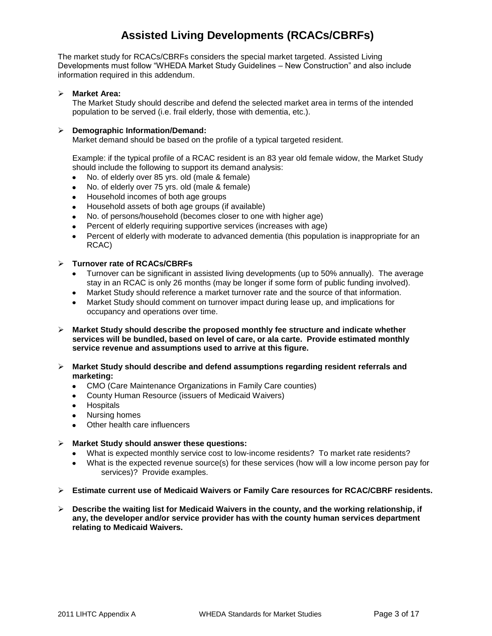### <span id="page-2-0"></span>**Assisted Living Developments (RCACs/CBRFs)**

The market study for RCACs/CBRFs considers the special market targeted. Assisted Living Developments must follow "WHEDA Market Study Guidelines – New Construction" and also include information required in this addendum.

#### **Market Area:**

The Market Study should describe and defend the selected market area in terms of the intended population to be served (i.e. frail elderly, those with dementia, etc.).

#### **Demographic Information/Demand:**

Market demand should be based on the profile of a typical targeted resident.

Example: if the typical profile of a RCAC resident is an 83 year old female widow, the Market Study should include the following to support its demand analysis:

- No. of elderly over 85 yrs. old (male & female)
- No. of elderly over 75 yrs. old (male & female)  $\bullet$
- Household incomes of both age groups  $\bullet$
- Household assets of both age groups (if available)  $\bullet$
- No. of persons/household (becomes closer to one with higher age)  $\bullet$
- Percent of elderly requiring supportive services (increases with age)
- Percent of elderly with moderate to advanced dementia (this population is inappropriate for an  $\bullet$ RCAC)

#### **Turnover rate of RCACs/CBRFs**

- Turnover can be significant in assisted living developments (up to 50% annually). The average  $\bullet$ stay in an RCAC is only 26 months (may be longer if some form of public funding involved).
- Market Study should reference a market turnover rate and the source of that information.
- Market Study should comment on turnover impact during lease up, and implications for occupancy and operations over time.
- **Market Study should describe the proposed monthly fee structure and indicate whether services will be bundled, based on level of care, or ala carte. Provide estimated monthly service revenue and assumptions used to arrive at this figure.**
- **Market Study should describe and defend assumptions regarding resident referrals and marketing:**
	- CMO (Care Maintenance Organizations in Family Care counties)
	- County Human Resource (issuers of Medicaid Waivers)
	- Hospitals
	- Nursing homes
	- Other health care influencers
- **Market Study should answer these questions:**
	- What is expected monthly service cost to low-income residents? To market rate residents?
	- What is the expected revenue source(s) for these services (how will a low income person pay for services)? Provide examples.
- **Estimate current use of Medicaid Waivers or Family Care resources for RCAC/CBRF residents.**
- **Describe the waiting list for Medicaid Waivers in the county, and the working relationship, if any, the developer and/or service provider has with the county human services department relating to Medicaid Waivers.**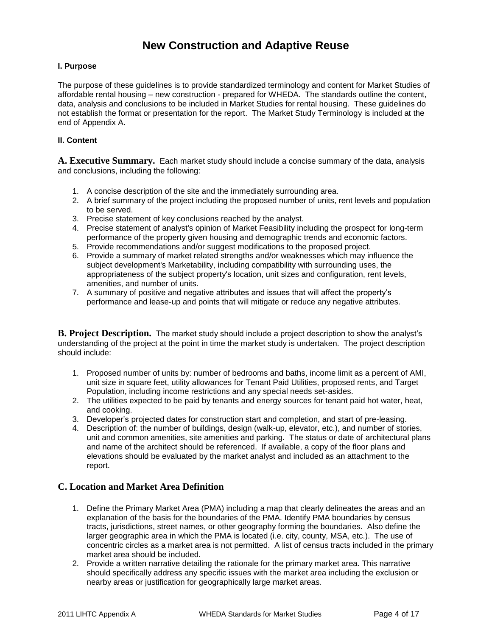### **New Construction and Adaptive Reuse**

#### <span id="page-3-0"></span>**I. Purpose**

The purpose of these guidelines is to provide standardized terminology and content for Market Studies of affordable rental housing – new construction - prepared for WHEDA. The standards outline the content, data, analysis and conclusions to be included in Market Studies for rental housing. These guidelines do not establish the format or presentation for the report. The Market Study Terminology is included at the end of Appendix A.

#### **II. Content**

**A. Executive Summary.** Each market study should include a concise summary of the data, analysis and conclusions, including the following:

- 1. A concise description of the site and the immediately surrounding area.
- 2. A brief summary of the project including the proposed number of units, rent levels and population to be served.
- 3. Precise statement of key conclusions reached by the analyst.
- 4. Precise statement of analyst's opinion of Market Feasibility including the prospect for long-term performance of the property given housing and demographic trends and economic factors.
- 5. Provide recommendations and/or suggest modifications to the proposed project.
- 6. Provide a summary of market related strengths and/or weaknesses which may influence the subject development's Marketability, including compatibility with surrounding uses, the appropriateness of the subject property's location, unit sizes and configuration, rent levels, amenities, and number of units.
- 7. A summary of positive and negative attributes and issues that will affect the property's performance and lease-up and points that will mitigate or reduce any negative attributes.

**B. Project Description.** The market study should include a project description to show the analyst's understanding of the project at the point in time the market study is undertaken. The project description should include:

- 1. Proposed number of units by: number of bedrooms and baths, income limit as a percent of AMI, unit size in square feet, utility allowances for Tenant Paid Utilities, proposed rents, and Target Population, including income restrictions and any special needs set-asides.
- 2. The utilities expected to be paid by tenants and energy sources for tenant paid hot water, heat, and cooking.
- 3. Developer's projected dates for construction start and completion, and start of pre-leasing.
- 4. Description of: the number of buildings, design (walk-up, elevator, etc.), and number of stories, unit and common amenities, site amenities and parking. The status or date of architectural plans and name of the architect should be referenced. If available, a copy of the floor plans and elevations should be evaluated by the market analyst and included as an attachment to the report.

#### **C. Location and Market Area Definition**

- 1. Define the Primary Market Area (PMA) including a map that clearly delineates the areas and an explanation of the basis for the boundaries of the PMA. Identify PMA boundaries by census tracts, jurisdictions, street names, or other geography forming the boundaries. Also define the larger geographic area in which the PMA is located (i.e. city, county, MSA, etc.). The use of concentric circles as a market area is not permitted. A list of census tracts included in the primary market area should be included.
- 2. Provide a written narrative detailing the rationale for the primary market area. This narrative should specifically address any specific issues with the market area including the exclusion or nearby areas or justification for geographically large market areas.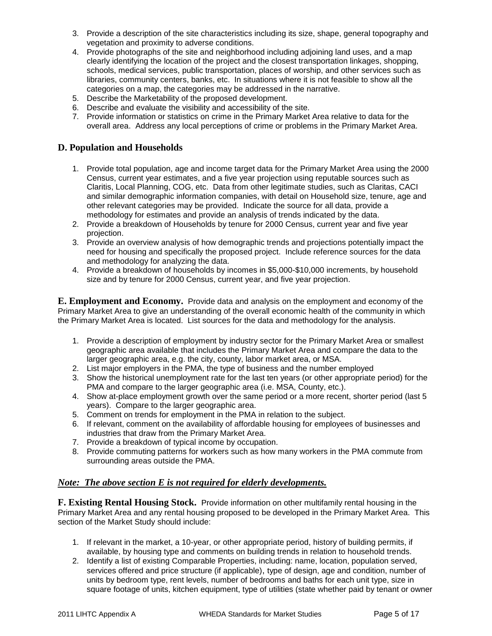- 3. Provide a description of the site characteristics including its size, shape, general topography and vegetation and proximity to adverse conditions.
- 4. Provide photographs of the site and neighborhood including adjoining land uses, and a map clearly identifying the location of the project and the closest transportation linkages, shopping, schools, medical services, public transportation, places of worship, and other services such as libraries, community centers, banks, etc. In situations where it is not feasible to show all the categories on a map, the categories may be addressed in the narrative.
- 5. Describe the Marketability of the proposed development.
- 6. Describe and evaluate the visibility and accessibility of the site.
- 7. Provide information or statistics on crime in the Primary Market Area relative to data for the overall area. Address any local perceptions of crime or problems in the Primary Market Area.

#### **D. Population and Households**

- 1. Provide total population, age and income target data for the Primary Market Area using the 2000 Census, current year estimates, and a five year projection using reputable sources such as Claritis, Local Planning, COG, etc. Data from other legitimate studies, such as Claritas, CACI and similar demographic information companies, with detail on Household size, tenure, age and other relevant categories may be provided. Indicate the source for all data, provide a methodology for estimates and provide an analysis of trends indicated by the data.
- 2. Provide a breakdown of Households by tenure for 2000 Census, current year and five year projection.
- 3. Provide an overview analysis of how demographic trends and projections potentially impact the need for housing and specifically the proposed project. Include reference sources for the data and methodology for analyzing the data.
- 4. Provide a breakdown of households by incomes in \$5,000-\$10,000 increments, by household size and by tenure for 2000 Census, current year, and five year projection.

**E. Employment and Economy.** Provide data and analysis on the employment and economy of the Primary Market Area to give an understanding of the overall economic health of the community in which the Primary Market Area is located. List sources for the data and methodology for the analysis.

- 1. Provide a description of employment by industry sector for the Primary Market Area or smallest geographic area available that includes the Primary Market Area and compare the data to the larger geographic area, e.g. the city, county, labor market area, or MSA.
- 2. List major employers in the PMA, the type of business and the number employed
- 3. Show the historical unemployment rate for the last ten years (or other appropriate period) for the PMA and compare to the larger geographic area (i.e. MSA, County, etc.).
- 4. Show at-place employment growth over the same period or a more recent, shorter period (last 5 years). Compare to the larger geographic area.
- 5. Comment on trends for employment in the PMA in relation to the subject.
- 6. If relevant, comment on the availability of affordable housing for employees of businesses and industries that draw from the Primary Market Area.
- 7. Provide a breakdown of typical income by occupation.
- 8. Provide commuting patterns for workers such as how many workers in the PMA commute from surrounding areas outside the PMA.

#### *Note: The above section E is not required for elderly developments.*

**F. Existing Rental Housing Stock.** Provide information on other multifamily rental housing in the Primary Market Area and any rental housing proposed to be developed in the Primary Market Area. This section of the Market Study should include:

- 1. If relevant in the market, a 10-year, or other appropriate period, history of building permits, if available, by housing type and comments on building trends in relation to household trends.
- 2. Identify a list of existing Comparable Properties, including: name, location, population served, services offered and price structure (if applicable), type of design, age and condition, number of units by bedroom type, rent levels, number of bedrooms and baths for each unit type, size in square footage of units, kitchen equipment, type of utilities (state whether paid by tenant or owner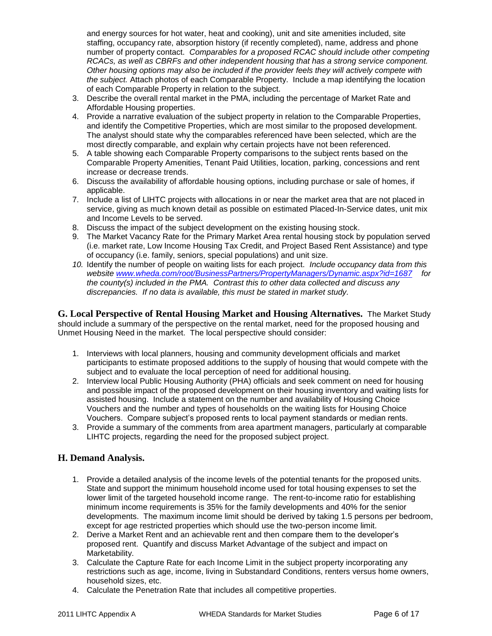and energy sources for hot water, heat and cooking), unit and site amenities included, site staffing, occupancy rate, absorption history (if recently completed), name, address and phone number of property contact. *Comparables for a proposed RCAC should include other competing RCACs, as well as CBRFs and other independent housing that has a strong service component. Other housing options may also be included if the provider feels they will actively compete with the subject.* Attach photos of each Comparable Property. Include a map identifying the location of each Comparable Property in relation to the subject.

- 3. Describe the overall rental market in the PMA, including the percentage of Market Rate and Affordable Housing properties.
- 4. Provide a narrative evaluation of the subject property in relation to the Comparable Properties, and identify the Competitive Properties, which are most similar to the proposed development. The analyst should state why the comparables referenced have been selected, which are the most directly comparable, and explain why certain projects have not been referenced.
- 5. A table showing each Comparable Property comparisons to the subject rents based on the Comparable Property Amenities, Tenant Paid Utilities, location, parking, concessions and rent increase or decrease trends.
- 6. Discuss the availability of affordable housing options, including purchase or sale of homes, if applicable.
- 7. Include a list of LIHTC projects with allocations in or near the market area that are not placed in service, giving as much known detail as possible on estimated Placed-In-Service dates, unit mix and Income Levels to be served.
- 8. Discuss the impact of the subject development on the existing housing stock.
- 9. The Market Vacancy Rate for the Primary Market Area rental housing stock by population served (i.e. market rate, Low Income Housing Tax Credit, and Project Based Rent Assistance) and type of occupancy (i.e. family, seniors, special populations) and unit size.
- *10.* Identify the number of people on waiting lists for each project. *Include occupancy data from this website [www.wheda.com/root/BusinessPartners/PropertyManagers/Dynamic.aspx?id=1687](http://www.wheda.com/root/BusinessPartners/PropertyManagers/Dynamic.aspx?id=1687) for the county(s) included in the PMA. Contrast this to other data collected and discuss any discrepancies. If no data is available, this must be stated in market study.*

**G. Local Perspective of Rental Housing Market and Housing Alternatives.** The Market Study should include a summary of the perspective on the rental market, need for the proposed housing and Unmet Housing Need in the market. The local perspective should consider:

- 1. Interviews with local planners, housing and community development officials and market participants to estimate proposed additions to the supply of housing that would compete with the subject and to evaluate the local perception of need for additional housing.
- 2. Interview local Public Housing Authority (PHA) officials and seek comment on need for housing and possible impact of the proposed development on their housing inventory and waiting lists for assisted housing. Include a statement on the number and availability of Housing Choice Vouchers and the number and types of households on the waiting lists for Housing Choice Vouchers. Compare subject's proposed rents to local payment standards or median rents.
- 3. Provide a summary of the comments from area apartment managers, particularly at comparable LIHTC projects, regarding the need for the proposed subject project.

#### **H. Demand Analysis.**

- 1. Provide a detailed analysis of the income levels of the potential tenants for the proposed units. State and support the minimum household income used for total housing expenses to set the lower limit of the targeted household income range. The rent-to-income ratio for establishing minimum income requirements is 35% for the family developments and 40% for the senior developments. The maximum income limit should be derived by taking 1.5 persons per bedroom, except for age restricted properties which should use the two-person income limit.
- 2. Derive a Market Rent and an achievable rent and then compare them to the developer's proposed rent. Quantify and discuss Market Advantage of the subject and impact on Marketability.
- 3. Calculate the Capture Rate for each Income Limit in the subject property incorporating any restrictions such as age, income, living in Substandard Conditions, renters versus home owners, household sizes, etc.
- 4. Calculate the Penetration Rate that includes all competitive properties.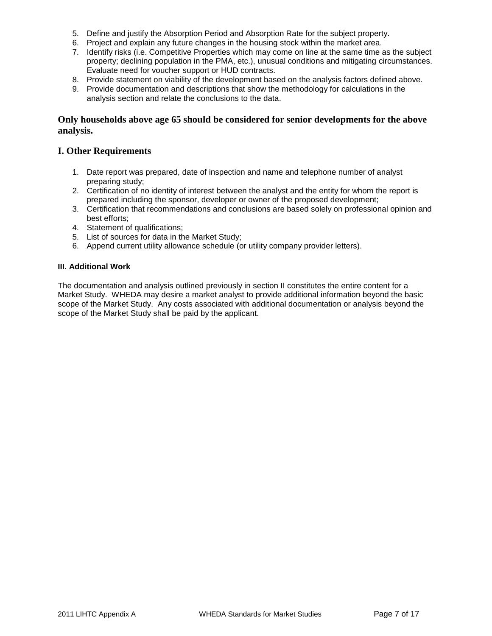- 5. Define and justify the Absorption Period and Absorption Rate for the subject property.
- 6. Project and explain any future changes in the housing stock within the market area.
- 7. Identify risks (i.e. Competitive Properties which may come on line at the same time as the subject property; declining population in the PMA, etc.), unusual conditions and mitigating circumstances. Evaluate need for voucher support or HUD contracts.
- 8. Provide statement on viability of the development based on the analysis factors defined above.
- 9. Provide documentation and descriptions that show the methodology for calculations in the analysis section and relate the conclusions to the data.

#### **Only households above age 65 should be considered for senior developments for the above analysis.**

#### **I. Other Requirements**

- 1. Date report was prepared, date of inspection and name and telephone number of analyst preparing study;
- 2. Certification of no identity of interest between the analyst and the entity for whom the report is prepared including the sponsor, developer or owner of the proposed development;
- 3. Certification that recommendations and conclusions are based solely on professional opinion and best efforts;
- 4. Statement of qualifications;
- 5. List of sources for data in the Market Study;
- 6. Append current utility allowance schedule (or utility company provider letters).

#### **III. Additional Work**

The documentation and analysis outlined previously in section II constitutes the entire content for a Market Study. WHEDA may desire a market analyst to provide additional information beyond the basic scope of the Market Study. Any costs associated with additional documentation or analysis beyond the scope of the Market Study shall be paid by the applicant.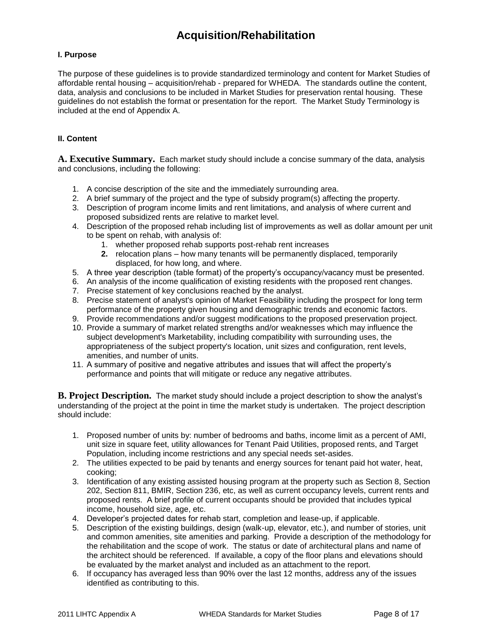### **Acquisition/Rehabilitation**

#### <span id="page-7-0"></span>**I. Purpose**

The purpose of these guidelines is to provide standardized terminology and content for Market Studies of affordable rental housing – acquisition/rehab - prepared for WHEDA. The standards outline the content, data, analysis and conclusions to be included in Market Studies for preservation rental housing. These guidelines do not establish the format or presentation for the report. The Market Study Terminology is included at the end of Appendix A.

#### **II. Content**

**A. Executive Summary.** Each market study should include a concise summary of the data, analysis and conclusions, including the following:

- 1. A concise description of the site and the immediately surrounding area.
- 2. A brief summary of the project and the type of subsidy program(s) affecting the property.
- 3. Description of program income limits and rent limitations, and analysis of where current and proposed subsidized rents are relative to market level.
- 4. Description of the proposed rehab including list of improvements as well as dollar amount per unit to be spent on rehab, with analysis of:
	- 1. whether proposed rehab supports post-rehab rent increases
	- **2.** relocation plans how many tenants will be permanently displaced, temporarily displaced, for how long, and where.
- 5. A three year description (table format) of the property's occupancy/vacancy must be presented.
- 6. An analysis of the income qualification of existing residents with the proposed rent changes.
- 7. Precise statement of key conclusions reached by the analyst.
- 8. Precise statement of analyst's opinion of Market Feasibility including the prospect for long term performance of the property given housing and demographic trends and economic factors.
- 9. Provide recommendations and/or suggest modifications to the proposed preservation project.
- 10. Provide a summary of market related strengths and/or weaknesses which may influence the subject development's Marketability, including compatibility with surrounding uses, the appropriateness of the subject property's location, unit sizes and configuration, rent levels, amenities, and number of units.
- 11. A summary of positive and negative attributes and issues that will affect the property's performance and points that will mitigate or reduce any negative attributes.

**B. Project Description.** The market study should include a project description to show the analyst's understanding of the project at the point in time the market study is undertaken. The project description should include:

- 1. Proposed number of units by: number of bedrooms and baths, income limit as a percent of AMI, unit size in square feet, utility allowances for Tenant Paid Utilities, proposed rents, and Target Population, including income restrictions and any special needs set-asides.
- 2. The utilities expected to be paid by tenants and energy sources for tenant paid hot water, heat, cooking;
- 3. Identification of any existing assisted housing program at the property such as Section 8, Section 202, Section 811, BMIR, Section 236, etc, as well as current occupancy levels, current rents and proposed rents. A brief profile of current occupants should be provided that includes typical income, household size, age, etc.
- 4. Developer's projected dates for rehab start, completion and lease-up, if applicable.
- 5. Description of the existing buildings, design (walk-up, elevator, etc.), and number of stories, unit and common amenities, site amenities and parking. Provide a description of the methodology for the rehabilitation and the scope of work. The status or date of architectural plans and name of the architect should be referenced. If available, a copy of the floor plans and elevations should be evaluated by the market analyst and included as an attachment to the report.
- 6. If occupancy has averaged less than 90% over the last 12 months, address any of the issues identified as contributing to this.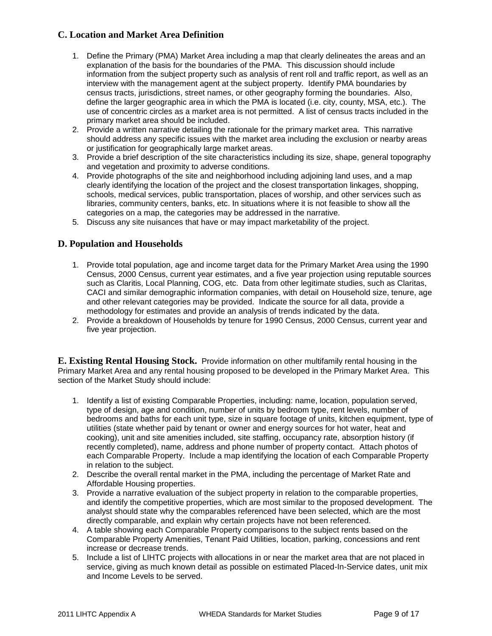#### **C. Location and Market Area Definition**

- 1. Define the Primary (PMA) Market Area including a map that clearly delineates the areas and an explanation of the basis for the boundaries of the PMA. This discussion should include information from the subject property such as analysis of rent roll and traffic report, as well as an interview with the management agent at the subject property. Identify PMA boundaries by census tracts, jurisdictions, street names, or other geography forming the boundaries. Also, define the larger geographic area in which the PMA is located (i.e. city, county, MSA, etc.). The use of concentric circles as a market area is not permitted. A list of census tracts included in the primary market area should be included.
- 2. Provide a written narrative detailing the rationale for the primary market area. This narrative should address any specific issues with the market area including the exclusion or nearby areas or justification for geographically large market areas.
- 3. Provide a brief description of the site characteristics including its size, shape, general topography and vegetation and proximity to adverse conditions.
- 4. Provide photographs of the site and neighborhood including adjoining land uses, and a map clearly identifying the location of the project and the closest transportation linkages, shopping, schools, medical services, public transportation, places of worship, and other services such as libraries, community centers, banks, etc. In situations where it is not feasible to show all the categories on a map, the categories may be addressed in the narrative.
- 5. Discuss any site nuisances that have or may impact marketability of the project.

#### **D. Population and Households**

- 1. Provide total population, age and income target data for the Primary Market Area using the 1990 Census, 2000 Census, current year estimates, and a five year projection using reputable sources such as Claritis, Local Planning, COG, etc. Data from other legitimate studies, such as Claritas, CACI and similar demographic information companies, with detail on Household size, tenure, age and other relevant categories may be provided. Indicate the source for all data, provide a methodology for estimates and provide an analysis of trends indicated by the data.
- 2. Provide a breakdown of Households by tenure for 1990 Census, 2000 Census, current year and five year projection.

**E. Existing Rental Housing Stock.** Provide information on other multifamily rental housing in the Primary Market Area and any rental housing proposed to be developed in the Primary Market Area. This section of the Market Study should include:

- 1. Identify a list of existing Comparable Properties, including: name, location, population served, type of design, age and condition, number of units by bedroom type, rent levels, number of bedrooms and baths for each unit type, size in square footage of units, kitchen equipment, type of utilities (state whether paid by tenant or owner and energy sources for hot water, heat and cooking), unit and site amenities included, site staffing, occupancy rate, absorption history (if recently completed), name, address and phone number of property contact. Attach photos of each Comparable Property. Include a map identifying the location of each Comparable Property in relation to the subject.
- 2. Describe the overall rental market in the PMA, including the percentage of Market Rate and Affordable Housing properties.
- 3. Provide a narrative evaluation of the subject property in relation to the comparable properties, and identify the competitive properties, which are most similar to the proposed development. The analyst should state why the comparables referenced have been selected, which are the most directly comparable, and explain why certain projects have not been referenced.
- 4. A table showing each Comparable Property comparisons to the subject rents based on the Comparable Property Amenities, Tenant Paid Utilities, location, parking, concessions and rent increase or decrease trends.
- 5. Include a list of LIHTC projects with allocations in or near the market area that are not placed in service, giving as much known detail as possible on estimated Placed-In-Service dates, unit mix and Income Levels to be served.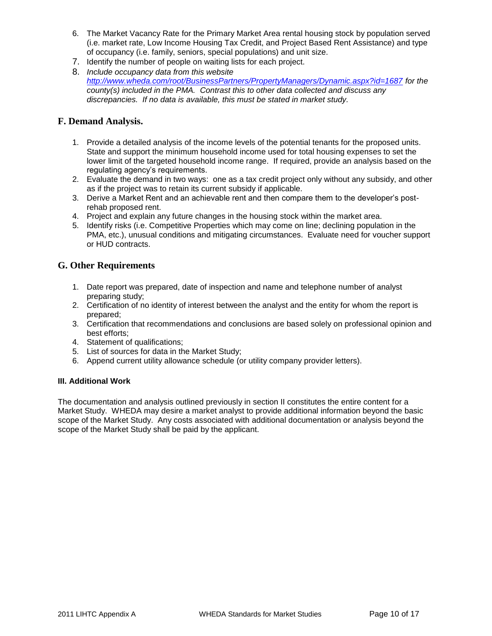- 6. The Market Vacancy Rate for the Primary Market Area rental housing stock by population served (i.e. market rate, Low Income Housing Tax Credit, and Project Based Rent Assistance) and type of occupancy (i.e. family, seniors, special populations) and unit size.
- 7. Identify the number of people on waiting lists for each project.
- 8. *Include occupancy data from this website <http://www.wheda.com/root/BusinessPartners/PropertyManagers/Dynamic.aspx?id=1687> for the county(s) included in the PMA. Contrast this to other data collected and discuss any discrepancies. If no data is available, this must be stated in market study.*

#### **F. Demand Analysis.**

- 1. Provide a detailed analysis of the income levels of the potential tenants for the proposed units. State and support the minimum household income used for total housing expenses to set the lower limit of the targeted household income range. If required, provide an analysis based on the regulating agency's requirements.
- 2. Evaluate the demand in two ways: one as a tax credit project only without any subsidy, and other as if the project was to retain its current subsidy if applicable.
- 3. Derive a Market Rent and an achievable rent and then compare them to the developer's postrehab proposed rent.
- 4. Project and explain any future changes in the housing stock within the market area.
- 5. Identify risks (i.e. Competitive Properties which may come on line; declining population in the PMA, etc.), unusual conditions and mitigating circumstances. Evaluate need for voucher support or HUD contracts.

#### **G. Other Requirements**

- 1. Date report was prepared, date of inspection and name and telephone number of analyst preparing study;
- 2. Certification of no identity of interest between the analyst and the entity for whom the report is prepared;
- 3. Certification that recommendations and conclusions are based solely on professional opinion and best efforts;
- 4. Statement of qualifications;
- 5. List of sources for data in the Market Study;
- 6. Append current utility allowance schedule (or utility company provider letters).

#### **III. Additional Work**

The documentation and analysis outlined previously in section II constitutes the entire content for a Market Study. WHEDA may desire a market analyst to provide additional information beyond the basic scope of the Market Study. Any costs associated with additional documentation or analysis beyond the scope of the Market Study shall be paid by the applicant.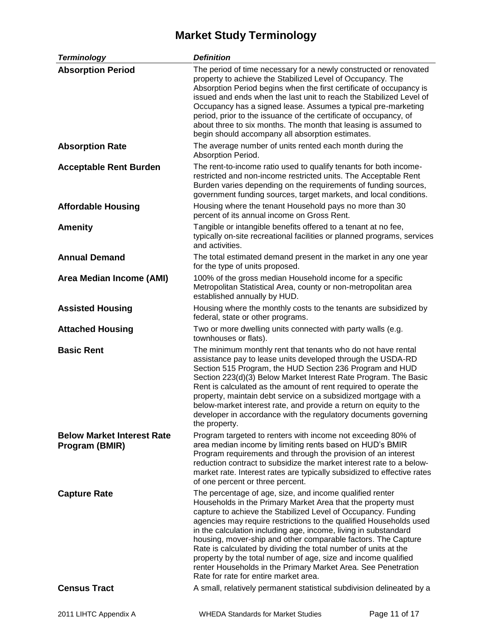# **Market Study Terminology**

<span id="page-10-0"></span>

| <b>Terminology</b>                                  | <b>Definition</b>                                                                                                                                                                                                                                                                                                                                                                                                                                                                                                                                                                                                                                  |
|-----------------------------------------------------|----------------------------------------------------------------------------------------------------------------------------------------------------------------------------------------------------------------------------------------------------------------------------------------------------------------------------------------------------------------------------------------------------------------------------------------------------------------------------------------------------------------------------------------------------------------------------------------------------------------------------------------------------|
| <b>Absorption Period</b>                            | The period of time necessary for a newly constructed or renovated<br>property to achieve the Stabilized Level of Occupancy. The<br>Absorption Period begins when the first certificate of occupancy is<br>issued and ends when the last unit to reach the Stabilized Level of<br>Occupancy has a signed lease. Assumes a typical pre-marketing<br>period, prior to the issuance of the certificate of occupancy, of<br>about three to six months. The month that leasing is assumed to<br>begin should accompany all absorption estimates.                                                                                                         |
| <b>Absorption Rate</b>                              | The average number of units rented each month during the<br>Absorption Period.                                                                                                                                                                                                                                                                                                                                                                                                                                                                                                                                                                     |
| <b>Acceptable Rent Burden</b>                       | The rent-to-income ratio used to qualify tenants for both income-<br>restricted and non-income restricted units. The Acceptable Rent<br>Burden varies depending on the requirements of funding sources,<br>government funding sources, target markets, and local conditions.                                                                                                                                                                                                                                                                                                                                                                       |
| <b>Affordable Housing</b>                           | Housing where the tenant Household pays no more than 30<br>percent of its annual income on Gross Rent.                                                                                                                                                                                                                                                                                                                                                                                                                                                                                                                                             |
| <b>Amenity</b>                                      | Tangible or intangible benefits offered to a tenant at no fee,<br>typically on-site recreational facilities or planned programs, services<br>and activities.                                                                                                                                                                                                                                                                                                                                                                                                                                                                                       |
| <b>Annual Demand</b>                                | The total estimated demand present in the market in any one year<br>for the type of units proposed.                                                                                                                                                                                                                                                                                                                                                                                                                                                                                                                                                |
| Area Median Income (AMI)                            | 100% of the gross median Household income for a specific<br>Metropolitan Statistical Area, county or non-metropolitan area<br>established annually by HUD.                                                                                                                                                                                                                                                                                                                                                                                                                                                                                         |
| <b>Assisted Housing</b>                             | Housing where the monthly costs to the tenants are subsidized by<br>federal, state or other programs.                                                                                                                                                                                                                                                                                                                                                                                                                                                                                                                                              |
| <b>Attached Housing</b>                             | Two or more dwelling units connected with party walls (e.g.<br>townhouses or flats).                                                                                                                                                                                                                                                                                                                                                                                                                                                                                                                                                               |
| <b>Basic Rent</b>                                   | The minimum monthly rent that tenants who do not have rental<br>assistance pay to lease units developed through the USDA-RD<br>Section 515 Program, the HUD Section 236 Program and HUD<br>Section 223(d)(3) Below Market Interest Rate Program. The Basic<br>Rent is calculated as the amount of rent required to operate the<br>property, maintain debt service on a subsidized mortgage with a<br>below-market interest rate, and provide a return on equity to the<br>developer in accordance with the regulatory documents governing<br>the property.                                                                                         |
| <b>Below Market Interest Rate</b><br>Program (BMIR) | Program targeted to renters with income not exceeding 80% of<br>area median income by limiting rents based on HUD's BMIR<br>Program requirements and through the provision of an interest<br>reduction contract to subsidize the market interest rate to a below-<br>market rate. Interest rates are typically subsidized to effective rates<br>of one percent or three percent.                                                                                                                                                                                                                                                                   |
| <b>Capture Rate</b>                                 | The percentage of age, size, and income qualified renter<br>Households in the Primary Market Area that the property must<br>capture to achieve the Stabilized Level of Occupancy. Funding<br>agencies may require restrictions to the qualified Households used<br>in the calculation including age, income, living in substandard<br>housing, mover-ship and other comparable factors. The Capture<br>Rate is calculated by dividing the total number of units at the<br>property by the total number of age, size and income qualified<br>renter Households in the Primary Market Area. See Penetration<br>Rate for rate for entire market area. |
| <b>Census Tract</b>                                 | A small, relatively permanent statistical subdivision delineated by a                                                                                                                                                                                                                                                                                                                                                                                                                                                                                                                                                                              |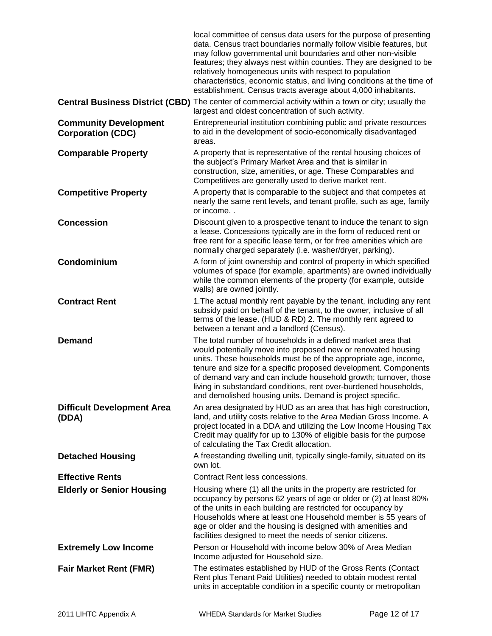|                                                          | local committee of census data users for the purpose of presenting<br>data. Census tract boundaries normally follow visible features, but<br>may follow governmental unit boundaries and other non-visible<br>features; they always nest within counties. They are designed to be<br>relatively homogeneous units with respect to population<br>characteristics, economic status, and living conditions at the time of<br>establishment. Census tracts average about 4,000 inhabitants. |
|----------------------------------------------------------|-----------------------------------------------------------------------------------------------------------------------------------------------------------------------------------------------------------------------------------------------------------------------------------------------------------------------------------------------------------------------------------------------------------------------------------------------------------------------------------------|
|                                                          | <b>Central Business District (CBD)</b> The center of commercial activity within a town or city; usually the<br>largest and oldest concentration of such activity.                                                                                                                                                                                                                                                                                                                       |
| <b>Community Development</b><br><b>Corporation (CDC)</b> | Entrepreneurial institution combining public and private resources<br>to aid in the development of socio-economically disadvantaged<br>areas.                                                                                                                                                                                                                                                                                                                                           |
| <b>Comparable Property</b>                               | A property that is representative of the rental housing choices of<br>the subject's Primary Market Area and that is similar in<br>construction, size, amenities, or age. These Comparables and<br>Competitives are generally used to derive market rent.                                                                                                                                                                                                                                |
| <b>Competitive Property</b>                              | A property that is comparable to the subject and that competes at<br>nearly the same rent levels, and tenant profile, such as age, family<br>or income                                                                                                                                                                                                                                                                                                                                  |
| <b>Concession</b>                                        | Discount given to a prospective tenant to induce the tenant to sign<br>a lease. Concessions typically are in the form of reduced rent or<br>free rent for a specific lease term, or for free amenities which are<br>normally charged separately (i.e. washer/dryer, parking).                                                                                                                                                                                                           |
| Condominium                                              | A form of joint ownership and control of property in which specified<br>volumes of space (for example, apartments) are owned individually<br>while the common elements of the property (for example, outside<br>walls) are owned jointly.                                                                                                                                                                                                                                               |
| <b>Contract Rent</b>                                     | 1. The actual monthly rent payable by the tenant, including any rent<br>subsidy paid on behalf of the tenant, to the owner, inclusive of all<br>terms of the lease. (HUD & RD) 2. The monthly rent agreed to<br>between a tenant and a landlord (Census).                                                                                                                                                                                                                               |
| <b>Demand</b>                                            | The total number of households in a defined market area that<br>would potentially move into proposed new or renovated housing<br>units. These households must be of the appropriate age, income,<br>tenure and size for a specific proposed development. Components<br>of demand vary and can include household growth; turnover, those<br>living in substandard conditions, rent over-burdened households<br>and demolished housing units. Demand is project specific.                 |
| <b>Difficult Development Area</b><br>(DDA)               | An area designated by HUD as an area that has high construction,<br>land, and utility costs relative to the Area Median Gross Income. A<br>project located in a DDA and utilizing the Low Income Housing Tax<br>Credit may qualify for up to 130% of eligible basis for the purpose<br>of calculating the Tax Credit allocation.                                                                                                                                                        |
| <b>Detached Housing</b>                                  | A freestanding dwelling unit, typically single-family, situated on its<br>own lot.                                                                                                                                                                                                                                                                                                                                                                                                      |
| <b>Effective Rents</b>                                   | Contract Rent less concessions.                                                                                                                                                                                                                                                                                                                                                                                                                                                         |
| <b>Elderly or Senior Housing</b>                         | Housing where (1) all the units in the property are restricted for<br>occupancy by persons 62 years of age or older or (2) at least 80%<br>of the units in each building are restricted for occupancy by<br>Households where at least one Household member is 55 years of<br>age or older and the housing is designed with amenities and<br>facilities designed to meet the needs of senior citizens.                                                                                   |
| <b>Extremely Low Income</b>                              | Person or Household with income below 30% of Area Median<br>Income adjusted for Household size.                                                                                                                                                                                                                                                                                                                                                                                         |
| <b>Fair Market Rent (FMR)</b>                            | The estimates established by HUD of the Gross Rents (Contact<br>Rent plus Tenant Paid Utilities) needed to obtain modest rental<br>units in acceptable condition in a specific county or metropolitan                                                                                                                                                                                                                                                                                   |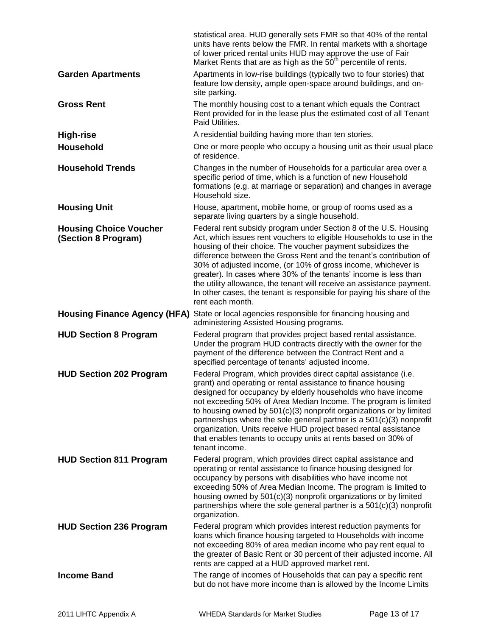|                                                      | statistical area. HUD generally sets FMR so that 40% of the rental<br>units have rents below the FMR. In rental markets with a shortage<br>of lower priced rental units HUD may approve the use of Fair<br>Market Rents that are as high as the 50 <sup>th</sup> percentile of rents.                                                                                                                                                                                                                                                                                                    |
|------------------------------------------------------|------------------------------------------------------------------------------------------------------------------------------------------------------------------------------------------------------------------------------------------------------------------------------------------------------------------------------------------------------------------------------------------------------------------------------------------------------------------------------------------------------------------------------------------------------------------------------------------|
| <b>Garden Apartments</b>                             | Apartments in low-rise buildings (typically two to four stories) that<br>feature low density, ample open-space around buildings, and on-<br>site parking.                                                                                                                                                                                                                                                                                                                                                                                                                                |
| <b>Gross Rent</b>                                    | The monthly housing cost to a tenant which equals the Contract<br>Rent provided for in the lease plus the estimated cost of all Tenant<br>Paid Utilities.                                                                                                                                                                                                                                                                                                                                                                                                                                |
| <b>High-rise</b>                                     | A residential building having more than ten stories.                                                                                                                                                                                                                                                                                                                                                                                                                                                                                                                                     |
| <b>Household</b>                                     | One or more people who occupy a housing unit as their usual place<br>of residence.                                                                                                                                                                                                                                                                                                                                                                                                                                                                                                       |
| <b>Household Trends</b>                              | Changes in the number of Households for a particular area over a<br>specific period of time, which is a function of new Household<br>formations (e.g. at marriage or separation) and changes in average<br>Household size.                                                                                                                                                                                                                                                                                                                                                               |
| <b>Housing Unit</b>                                  | House, apartment, mobile home, or group of rooms used as a<br>separate living quarters by a single household.                                                                                                                                                                                                                                                                                                                                                                                                                                                                            |
| <b>Housing Choice Voucher</b><br>(Section 8 Program) | Federal rent subsidy program under Section 8 of the U.S. Housing<br>Act, which issues rent vouchers to eligible Households to use in the<br>housing of their choice. The voucher payment subsidizes the<br>difference between the Gross Rent and the tenant's contribution of<br>30% of adjusted income, (or 10% of gross income, whichever is<br>greater). In cases where 30% of the tenants' income is less than<br>the utility allowance, the tenant will receive an assistance payment.<br>In other cases, the tenant is responsible for paying his share of the<br>rent each month. |
|                                                      | Housing Finance Agency (HFA) State or local agencies responsible for financing housing and<br>administering Assisted Housing programs.                                                                                                                                                                                                                                                                                                                                                                                                                                                   |
| <b>HUD Section 8 Program</b>                         | Federal program that provides project based rental assistance.<br>Under the program HUD contracts directly with the owner for the<br>payment of the difference between the Contract Rent and a<br>specified percentage of tenants' adjusted income.                                                                                                                                                                                                                                                                                                                                      |
| <b>HUD Section 202 Program</b>                       | Federal Program, which provides direct capital assistance (i.e.<br>grant) and operating or rental assistance to finance housing<br>designed for occupancy by elderly households who have income<br>not exceeding 50% of Area Median Income. The program is limited<br>to housing owned by 501(c)(3) nonprofit organizations or by limited<br>partnerships where the sole general partner is a $501(c)(3)$ nonprofit<br>organization. Units receive HUD project based rental assistance<br>that enables tenants to occupy units at rents based on 30% of<br>tenant income.                |
| <b>HUD Section 811 Program</b>                       | Federal program, which provides direct capital assistance and<br>operating or rental assistance to finance housing designed for<br>occupancy by persons with disabilities who have income not<br>exceeding 50% of Area Median Income. The program is limited to<br>housing owned by 501(c)(3) nonprofit organizations or by limited<br>partnerships where the sole general partner is a $501(c)(3)$ nonprofit<br>organization.                                                                                                                                                           |
| <b>HUD Section 236 Program</b>                       | Federal program which provides interest reduction payments for<br>loans which finance housing targeted to Households with income<br>not exceeding 80% of area median income who pay rent equal to<br>the greater of Basic Rent or 30 percent of their adjusted income. All<br>rents are capped at a HUD approved market rent.                                                                                                                                                                                                                                                            |
| <b>Income Band</b>                                   | The range of incomes of Households that can pay a specific rent<br>but do not have more income than is allowed by the Income Limits                                                                                                                                                                                                                                                                                                                                                                                                                                                      |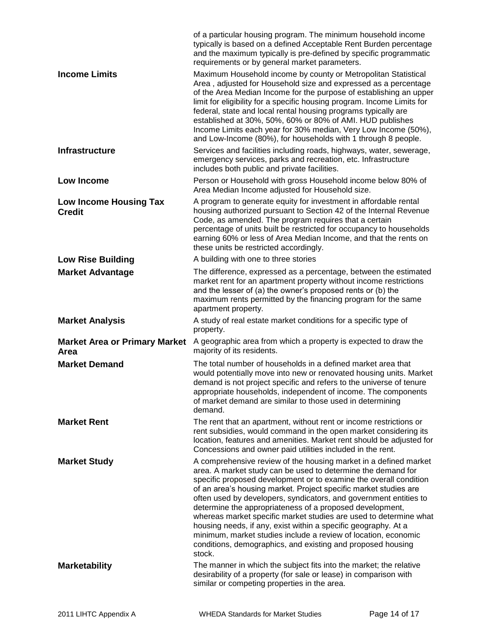|                                              | of a particular housing program. The minimum household income<br>typically is based on a defined Acceptable Rent Burden percentage<br>and the maximum typically is pre-defined by specific programmatic<br>requirements or by general market parameters.                                                                                                                                                                                                                                                                                             |
|----------------------------------------------|------------------------------------------------------------------------------------------------------------------------------------------------------------------------------------------------------------------------------------------------------------------------------------------------------------------------------------------------------------------------------------------------------------------------------------------------------------------------------------------------------------------------------------------------------|
| <b>Income Limits</b>                         | Maximum Household income by county or Metropolitan Statistical<br>Area, adjusted for Household size and expressed as a percentage<br>of the Area Median Income for the purpose of establishing an upper<br>limit for eligibility for a specific housing program. Income Limits for<br>federal, state and local rental housing programs typically are<br>established at 30%, 50%, 60% or 80% of AMI. HUD publishes<br>Income Limits each year for 30% median, Very Low Income (50%),<br>and Low-Income (80%), for households with 1 through 8 people. |
| <b>Infrastructure</b>                        | Services and facilities including roads, highways, water, sewerage,<br>emergency services, parks and recreation, etc. Infrastructure<br>includes both public and private facilities.                                                                                                                                                                                                                                                                                                                                                                 |
| Low Income                                   | Person or Household with gross Household income below 80% of<br>Area Median Income adjusted for Household size.                                                                                                                                                                                                                                                                                                                                                                                                                                      |
| Low Income Housing Tax<br><b>Credit</b>      | A program to generate equity for investment in affordable rental<br>housing authorized pursuant to Section 42 of the Internal Revenue<br>Code, as amended. The program requires that a certain<br>percentage of units built be restricted for occupancy to households<br>earning 60% or less of Area Median Income, and that the rents on<br>these units be restricted accordingly.                                                                                                                                                                  |
| <b>Low Rise Building</b>                     | A building with one to three stories                                                                                                                                                                                                                                                                                                                                                                                                                                                                                                                 |
| <b>Market Advantage</b>                      | The difference, expressed as a percentage, between the estimated<br>market rent for an apartment property without income restrictions<br>and the lesser of (a) the owner's proposed rents or (b) the<br>maximum rents permitted by the financing program for the same<br>apartment property.                                                                                                                                                                                                                                                         |
| <b>Market Analysis</b>                       | A study of real estate market conditions for a specific type of<br>property.                                                                                                                                                                                                                                                                                                                                                                                                                                                                         |
| <b>Market Area or Primary Market</b><br>Area | A geographic area from which a property is expected to draw the<br>majority of its residents.                                                                                                                                                                                                                                                                                                                                                                                                                                                        |
| <b>Market Demand</b>                         | The total number of households in a defined market area that<br>would potentially move into new or renovated housing units. Market<br>demand is not project specific and refers to the universe of tenure<br>appropriate households, independent of income. The components<br>of market demand are similar to those used in determining<br>demand.                                                                                                                                                                                                   |
| <b>Market Rent</b>                           | The rent that an apartment, without rent or income restrictions or<br>rent subsidies, would command in the open market considering its<br>location, features and amenities. Market rent should be adjusted for<br>Concessions and owner paid utilities included in the rent.                                                                                                                                                                                                                                                                         |
| <b>Market Study</b>                          | A comprehensive review of the housing market in a defined market<br>area. A market study can be used to determine the demand for<br>specific proposed development or to examine the overall condition<br>of an area's housing market. Project specific market studies are<br>often used by developers, syndicators, and government entities to<br>determine the appropriateness of a proposed development,                                                                                                                                           |
|                                              | whereas market specific market studies are used to determine what<br>housing needs, if any, exist within a specific geography. At a<br>minimum, market studies include a review of location, economic<br>conditions, demographics, and existing and proposed housing<br>stock.                                                                                                                                                                                                                                                                       |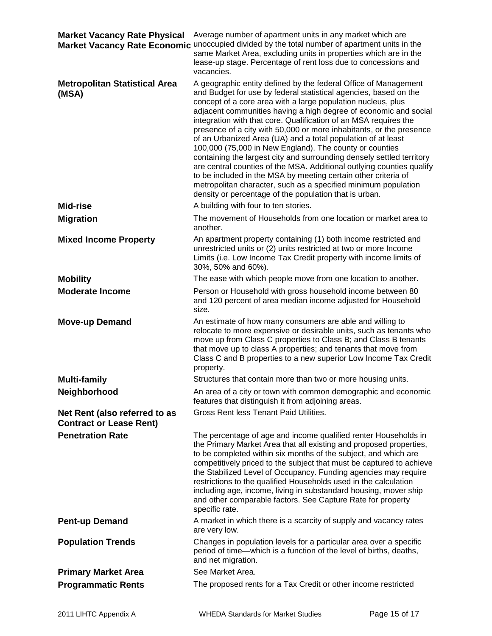| <b>Market Vacancy Rate Physical</b>                             | Average number of apartment units in any market which are<br>Market Vacancy Rate Economic unoccupied divided by the total number of apartment units in the<br>same Market Area, excluding units in properties which are in the<br>lease-up stage. Percentage of rent loss due to concessions and<br>vacancies.                                                                                                                                                                                                                                                                                                                                                                                                                                                                                                                                                                                |
|-----------------------------------------------------------------|-----------------------------------------------------------------------------------------------------------------------------------------------------------------------------------------------------------------------------------------------------------------------------------------------------------------------------------------------------------------------------------------------------------------------------------------------------------------------------------------------------------------------------------------------------------------------------------------------------------------------------------------------------------------------------------------------------------------------------------------------------------------------------------------------------------------------------------------------------------------------------------------------|
| <b>Metropolitan Statistical Area</b><br>(MSA)                   | A geographic entity defined by the federal Office of Management<br>and Budget for use by federal statistical agencies, based on the<br>concept of a core area with a large population nucleus, plus<br>adjacent communities having a high degree of economic and social<br>integration with that core. Qualification of an MSA requires the<br>presence of a city with 50,000 or more inhabitants, or the presence<br>of an Urbanized Area (UA) and a total population of at least<br>100,000 (75,000 in New England). The county or counties<br>containing the largest city and surrounding densely settled territory<br>are central counties of the MSA. Additional outlying counties qualify<br>to be included in the MSA by meeting certain other criteria of<br>metropolitan character, such as a specified minimum population<br>density or percentage of the population that is urban. |
| Mid-rise                                                        | A building with four to ten stories.                                                                                                                                                                                                                                                                                                                                                                                                                                                                                                                                                                                                                                                                                                                                                                                                                                                          |
| <b>Migration</b>                                                | The movement of Households from one location or market area to<br>another.                                                                                                                                                                                                                                                                                                                                                                                                                                                                                                                                                                                                                                                                                                                                                                                                                    |
| <b>Mixed Income Property</b>                                    | An apartment property containing (1) both income restricted and<br>unrestricted units or (2) units restricted at two or more Income<br>Limits (i.e. Low Income Tax Credit property with income limits of<br>30%, 50% and 60%).                                                                                                                                                                                                                                                                                                                                                                                                                                                                                                                                                                                                                                                                |
| <b>Mobility</b>                                                 | The ease with which people move from one location to another.                                                                                                                                                                                                                                                                                                                                                                                                                                                                                                                                                                                                                                                                                                                                                                                                                                 |
| <b>Moderate Income</b>                                          | Person or Household with gross household income between 80<br>and 120 percent of area median income adjusted for Household<br>size.                                                                                                                                                                                                                                                                                                                                                                                                                                                                                                                                                                                                                                                                                                                                                           |
| <b>Move-up Demand</b>                                           | An estimate of how many consumers are able and willing to<br>relocate to more expensive or desirable units, such as tenants who<br>move up from Class C properties to Class B; and Class B tenants<br>that move up to class A properties; and tenants that move from<br>Class C and B properties to a new superior Low Income Tax Credit<br>property.                                                                                                                                                                                                                                                                                                                                                                                                                                                                                                                                         |
| <b>Multi-family</b>                                             | Structures that contain more than two or more housing units.                                                                                                                                                                                                                                                                                                                                                                                                                                                                                                                                                                                                                                                                                                                                                                                                                                  |
| Neighborhood                                                    | An area of a city or town with common demographic and economic<br>features that distinguish it from adjoining areas.                                                                                                                                                                                                                                                                                                                                                                                                                                                                                                                                                                                                                                                                                                                                                                          |
| Net Rent (also referred to as<br><b>Contract or Lease Rent)</b> | Gross Rent less Tenant Paid Utilities.                                                                                                                                                                                                                                                                                                                                                                                                                                                                                                                                                                                                                                                                                                                                                                                                                                                        |
| <b>Penetration Rate</b>                                         | The percentage of age and income qualified renter Households in<br>the Primary Market Area that all existing and proposed properties,<br>to be completed within six months of the subject, and which are<br>competitively priced to the subject that must be captured to achieve<br>the Stabilized Level of Occupancy. Funding agencies may require<br>restrictions to the qualified Households used in the calculation<br>including age, income, living in substandard housing, mover ship<br>and other comparable factors. See Capture Rate for property<br>specific rate.                                                                                                                                                                                                                                                                                                                  |
| <b>Pent-up Demand</b>                                           | A market in which there is a scarcity of supply and vacancy rates<br>are very low.                                                                                                                                                                                                                                                                                                                                                                                                                                                                                                                                                                                                                                                                                                                                                                                                            |
| <b>Population Trends</b>                                        | Changes in population levels for a particular area over a specific<br>period of time—which is a function of the level of births, deaths,<br>and net migration.                                                                                                                                                                                                                                                                                                                                                                                                                                                                                                                                                                                                                                                                                                                                |
| <b>Primary Market Area</b>                                      | See Market Area.                                                                                                                                                                                                                                                                                                                                                                                                                                                                                                                                                                                                                                                                                                                                                                                                                                                                              |
| <b>Programmatic Rents</b>                                       | The proposed rents for a Tax Credit or other income restricted                                                                                                                                                                                                                                                                                                                                                                                                                                                                                                                                                                                                                                                                                                                                                                                                                                |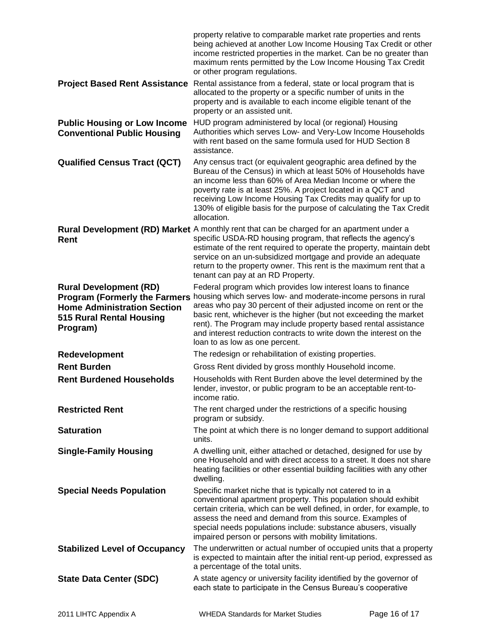|                                                                                                                                                             | property relative to comparable market rate properties and rents<br>being achieved at another Low Income Housing Tax Credit or other<br>income restricted properties in the market. Can be no greater than<br>maximum rents permitted by the Low Income Housing Tax Credit<br>or other program regulations.                                                                                                                                        |
|-------------------------------------------------------------------------------------------------------------------------------------------------------------|----------------------------------------------------------------------------------------------------------------------------------------------------------------------------------------------------------------------------------------------------------------------------------------------------------------------------------------------------------------------------------------------------------------------------------------------------|
|                                                                                                                                                             | Project Based Rent Assistance Rental assistance from a federal, state or local program that is<br>allocated to the property or a specific number of units in the<br>property and is available to each income eligible tenant of the<br>property or an assisted unit.                                                                                                                                                                               |
| <b>Public Housing or Low Income</b><br><b>Conventional Public Housing</b>                                                                                   | HUD program administered by local (or regional) Housing<br>Authorities which serves Low- and Very-Low Income Households<br>with rent based on the same formula used for HUD Section 8<br>assistance.                                                                                                                                                                                                                                               |
| <b>Qualified Census Tract (QCT)</b>                                                                                                                         | Any census tract (or equivalent geographic area defined by the<br>Bureau of the Census) in which at least 50% of Households have<br>an income less than 60% of Area Median Income or where the<br>poverty rate is at least 25%. A project located in a QCT and<br>receiving Low Income Housing Tax Credits may qualify for up to<br>130% of eligible basis for the purpose of calculating the Tax Credit<br>allocation.                            |
| <b>Rent</b>                                                                                                                                                 | <b>Rural Development (RD) Market</b> A monthly rent that can be charged for an apartment under a<br>specific USDA-RD housing program, that reflects the agency's<br>estimate of the rent required to operate the property, maintain debt<br>service on an un-subsidized mortgage and provide an adequate<br>return to the property owner. This rent is the maximum rent that a<br>tenant can pay at an RD Property.                                |
| <b>Rural Development (RD)</b><br><b>Program (Formerly the Farmers)</b><br><b>Home Administration Section</b><br><b>515 Rural Rental Housing</b><br>Program) | Federal program which provides low interest loans to finance<br>housing which serves low- and moderate-income persons in rural<br>areas who pay 30 percent of their adjusted income on rent or the<br>basic rent, whichever is the higher (but not exceeding the market<br>rent). The Program may include property based rental assistance<br>and interest reduction contracts to write down the interest on the<br>loan to as low as one percent. |
| Redevelopment                                                                                                                                               | The redesign or rehabilitation of existing properties.                                                                                                                                                                                                                                                                                                                                                                                             |
| <b>Rent Burden</b>                                                                                                                                          | Gross Rent divided by gross monthly Household income.                                                                                                                                                                                                                                                                                                                                                                                              |
| <b>Rent Burdened Households</b>                                                                                                                             | Households with Rent Burden above the level determined by the<br>lender, investor, or public program to be an acceptable rent-to-<br>income ratio.                                                                                                                                                                                                                                                                                                 |
| <b>Restricted Rent</b>                                                                                                                                      | The rent charged under the restrictions of a specific housing<br>program or subsidy.                                                                                                                                                                                                                                                                                                                                                               |
| <b>Saturation</b>                                                                                                                                           | The point at which there is no longer demand to support additional<br>units.                                                                                                                                                                                                                                                                                                                                                                       |
| <b>Single-Family Housing</b>                                                                                                                                | A dwelling unit, either attached or detached, designed for use by<br>one Household and with direct access to a street. It does not share<br>heating facilities or other essential building facilities with any other<br>dwelling.                                                                                                                                                                                                                  |
| <b>Special Needs Population</b>                                                                                                                             | Specific market niche that is typically not catered to in a<br>conventional apartment property. This population should exhibit<br>certain criteria, which can be well defined, in order, for example, to<br>assess the need and demand from this source. Examples of<br>special needs populations include: substance abusers, visually<br>impaired person or persons with mobility limitations.                                                    |
| <b>Stabilized Level of Occupancy</b>                                                                                                                        | The underwritten or actual number of occupied units that a property<br>is expected to maintain after the initial rent-up period, expressed as<br>a percentage of the total units.                                                                                                                                                                                                                                                                  |
| <b>State Data Center (SDC)</b>                                                                                                                              | A state agency or university facility identified by the governor of<br>each state to participate in the Census Bureau's cooperative                                                                                                                                                                                                                                                                                                                |
|                                                                                                                                                             |                                                                                                                                                                                                                                                                                                                                                                                                                                                    |